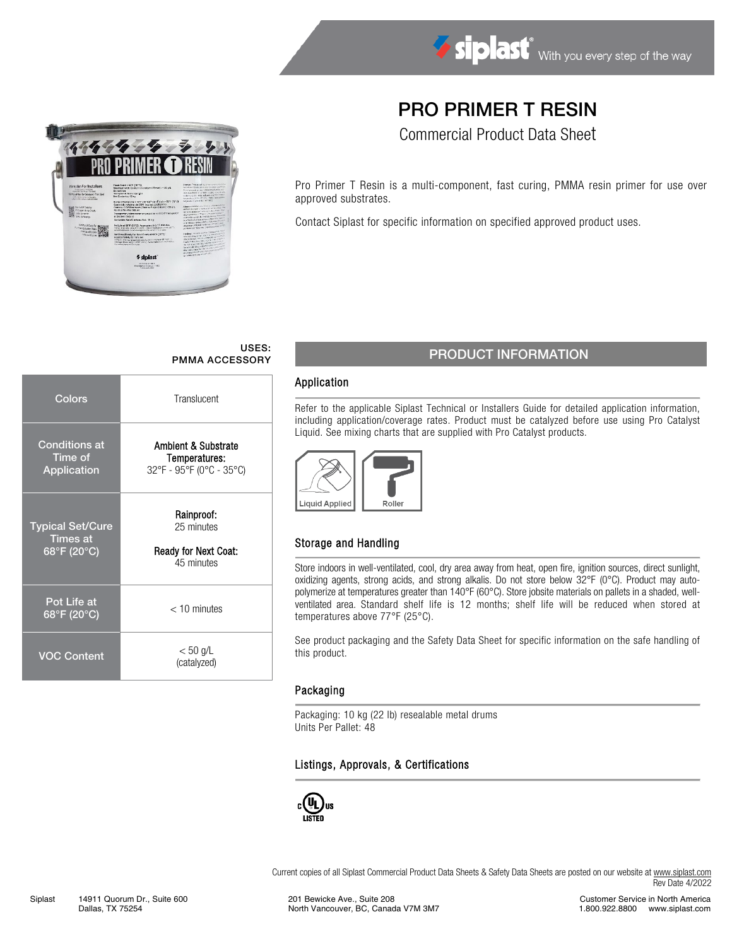# PRO PRIMER T RESIN

Commercial Product Data Sheet

Pro Primer T Resin is a multi-component, fast curing, PMMA resin primer for use over approved substrates.

Contact Siplast for specific information on specified approved product uses.

# USES:

| Colors                                                    | Translucent                                                      |  |  |  |  |  |  |
|-----------------------------------------------------------|------------------------------------------------------------------|--|--|--|--|--|--|
| <b>Conditions at</b><br>Time of<br>Application            | Ambient & Substrate<br>Temperatures:<br>32°F - 95°F (0°C - 35°C) |  |  |  |  |  |  |
| <b>Typical Set/Cure</b><br><b>Times at</b><br>68°F (20°C) | Rainproof:<br>25 minutes<br>Ready for Next Coat:<br>45 minutes   |  |  |  |  |  |  |
| Pot Life at<br>68°F (20°C)                                | $<$ 10 minutes                                                   |  |  |  |  |  |  |
| <b>VOC Content</b>                                        | $< 50$ g/L<br>(catalyzed)                                        |  |  |  |  |  |  |

# USES: USES:<br>PMMA ACCESSORY PRODUCT INFORMATION

### Application

Refer to the applicable Siplast Technical or Installers Guide for detailed application information, including application/coverage rates. Product must be catalyzed before use using Pro Catalyst Liquid. See mixing charts that are supplied with Pro Catalyst products.



## Storage and Handling

Store indoors in well-ventilated, cool, dry area away from heat, open fire, ignition sources, direct sunlight, oxidizing agents, strong acids, and strong alkalis. Do not store below 32°F (0°C). Product may autopolymerize at temperatures greater than 140°F (60°C). Store jobsite materials on pallets in a shaded, wellventilated area. Standard shelf life is 12 months; shelf life will be reduced when stored at temperatures above 77°F (25°C).

See product packaging and the Safety Data Sheet for specific information on the safe handling of this product.

### Packaging

Packaging: 10 kg (22 lb) resealable metal drums Units Per Pallet: 48

### Listings, Approvals, & Certifications



Current copies of all Siplast Commercial Product Data Sheets & Safety Data Sheets are posted on our website a[t www.siplast.com](http://www.siplast.com/) Rev Date 4/2022